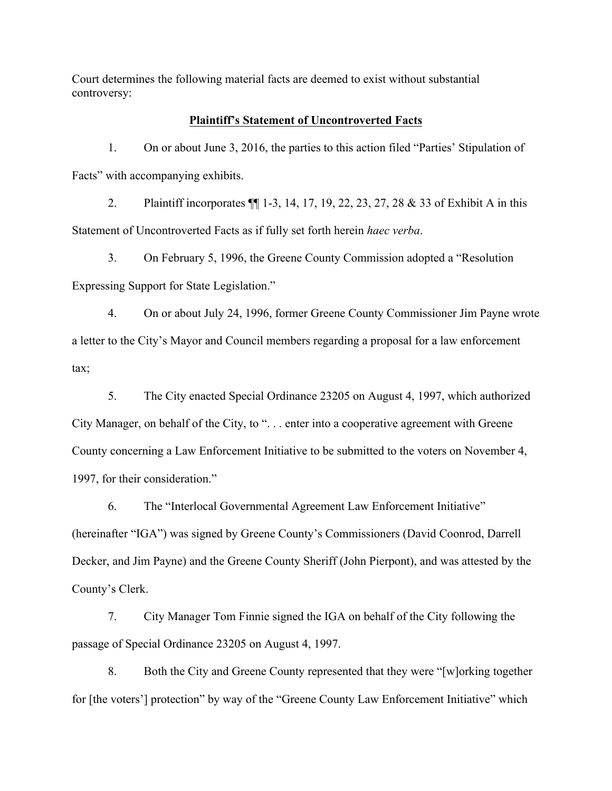Court determines the following material facts are deemed to exist without substantial controversy:

## **Plaintiff's Statement of Uncontroverted Facts**

1. On or about June 3, 2016, the parties to this action filed "Parties' Stipulation of Facts" with accompanying exhibits.

2. Plaintiff incorporates ¶¶ 1-3, 14, 17, 19, 22, 23, 27, 28 & 33 of Exhibit A in this Statement of Uncontroverted Facts as if fully set forth herein *haec verba*.

3. On February 5, 1996, the Greene County Commission adopted a "Resolution

Expressing Support for State Legislation."

4. On or about July 24, 1996, former Greene County Commissioner Jim Payne wrote a letter to the City's Mayor and Council members regarding a proposal for a law enforcement tax;

5. The City enacted Special Ordinance 23205 on August 4, 1997, which authorized City Manager, on behalf of the City, to ". . . enter into a cooperative agreement with Greene County concerning a Law Enforcement Initiative to be submitted to the voters on November 4, 1997, for their consideration."

6. The "Interlocal Governmental Agreement Law Enforcement Initiative" (hereinafter "IGA") was signed by Greene County's Commissioners (David Coonrod, Darrell Decker, and Jim Payne) and the Greene County Sheriff (John Pierpont), and was attested by the County's Clerk.

7. City Manager Tom Finnie signed the IGA on behalf of the City following the passage of Special Ordinance 23205 on August 4, 1997.

8. Both the City and Greene County represented that they were "[w]orking together for [the voters'] protection" by way of the "Greene County Law Enforcement Initiative" which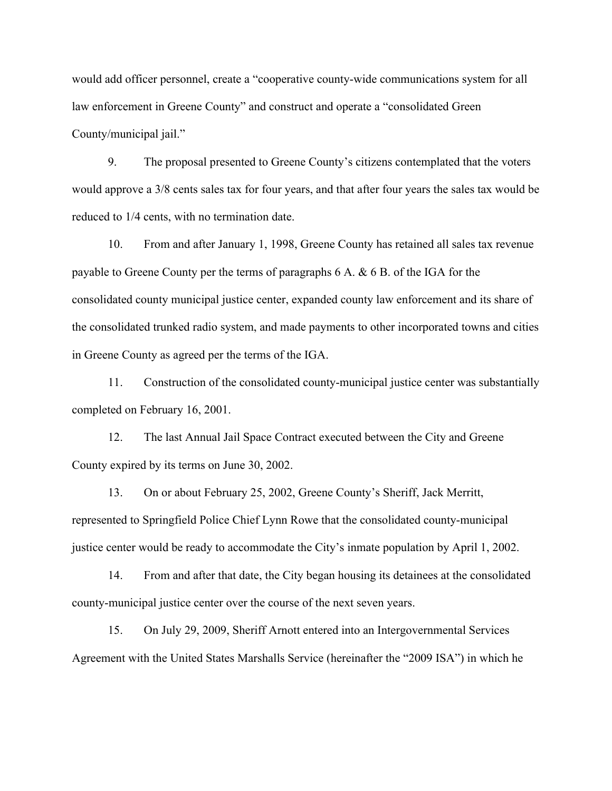would add officer personnel, create a "cooperative county-wide communications system for all law enforcement in Greene County" and construct and operate a "consolidated Green County/municipal jail."

9. The proposal presented to Greene County's citizens contemplated that the voters would approve a 3/8 cents sales tax for four years, and that after four years the sales tax would be reduced to 1/4 cents, with no termination date.

10. From and after January 1, 1998, Greene County has retained all sales tax revenue payable to Greene County per the terms of paragraphs 6 A. & 6 B. of the IGA for the consolidated county municipal justice center, expanded county law enforcement and its share of the consolidated trunked radio system, and made payments to other incorporated towns and cities in Greene County as agreed per the terms of the IGA.

11. Construction of the consolidated county-municipal justice center was substantially completed on February 16, 2001.

12. The last Annual Jail Space Contract executed between the City and Greene County expired by its terms on June 30, 2002.

13. On or about February 25, 2002, Greene County's Sheriff, Jack Merritt, represented to Springfield Police Chief Lynn Rowe that the consolidated county-municipal justice center would be ready to accommodate the City's inmate population by April 1, 2002.

14. From and after that date, the City began housing its detainees at the consolidated county-municipal justice center over the course of the next seven years.

15. On July 29, 2009, Sheriff Arnott entered into an Intergovernmental Services Agreement with the United States Marshalls Service (hereinafter the "2009 ISA") in which he